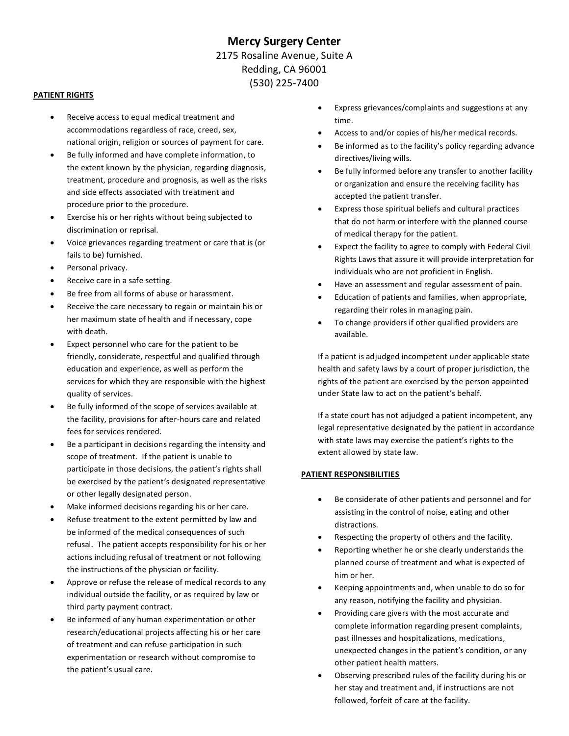# **Mercy Surgery Center**  2175 Rosaline Avenue, Suite A Redding, CA 96001 (530) 225-7400

#### **PATIENT RIGHTS**

- Receive access to equal medical treatment and accommodations regardless of race, creed, sex, national origin, religion or sources of payment for care.
- Be fully informed and have complete information, to the extent known by the physician, regarding diagnosis, treatment, procedure and prognosis, as well as the risks and side effects associated with treatment and procedure prior to the procedure.
- Exercise his or her rights without being subjected to discrimination or reprisal.
- Voice grievances regarding treatment or care that is (or fails to be) furnished.
- Personal privacy.
- Receive care in a safe setting.
- Be free from all forms of abuse or harassment.
- Receive the care necessary to regain or maintain his or her maximum state of health and if necessary, cope with death.
- Expect personnel who care for the patient to be friendly, considerate, respectful and qualified through education and experience, as well as perform the services for which they are responsible with the highest quality of services.
- Be fully informed of the scope of services available at the facility, provisions for after-hours care and related fees for services rendered.
- Be a participant in decisions regarding the intensity and scope of treatment. If the patient is unable to participate in those decisions, the patient's rights shall be exercised by the patient's designated representative or other legally designated person.
- Make informed decisions regarding his or her care.
- Refuse treatment to the extent permitted by law and be informed of the medical consequences of such refusal. The patient accepts responsibility for his or her actions including refusal of treatment or not following the instructions of the physician or facility.
- Approve or refuse the release of medical records to any individual outside the facility, or as required by law or third party payment contract.
- Be informed of any human experimentation or other research/educational projects affecting his or her care of treatment and can refuse participation in such experimentation or research without compromise to the patient's usual care.
- Express grievances/complaints and suggestions at any time.
- Access to and/or copies of his/her medical records.
- Be informed as to the facility's policy regarding advance directives/living wills.
- Be fully informed before any transfer to another facility or organization and ensure the receiving facility has accepted the patient transfer.
- Express those spiritual beliefs and cultural practices that do not harm or interfere with the planned course of medical therapy for the patient.
- Expect the facility to agree to comply with Federal Civil Rights Laws that assure it will provide interpretation for individuals who are not proficient in English.
- Have an assessment and regular assessment of pain.
- Education of patients and families, when appropriate, regarding their roles in managing pain.
- To change providers if other qualified providers are available.

If a patient is adjudged incompetent under applicable state health and safety laws by a court of proper jurisdiction, the rights of the patient are exercised by the person appointed under State law to act on the patient's behalf.

If a state court has not adjudged a patient incompetent, any legal representative designated by the patient in accordance with state laws may exercise the patient's rights to the extent allowed by state law.

#### **PATIENT RESPONSIBILITIES**

- Be considerate of other patients and personnel and for assisting in the control of noise, eating and other distractions.
- Respecting the property of others and the facility.
- Reporting whether he or she clearly understands the planned course of treatment and what is expected of him or her.
- Keeping appointments and, when unable to do so for any reason, notifying the facility and physician.
- Providing care givers with the most accurate and complete information regarding present complaints, past illnesses and hospitalizations, medications, unexpected changes in the patient's condition, or any other patient health matters.
- Observing prescribed rules of the facility during his or her stay and treatment and, if instructions are not followed, forfeit of care at the facility.